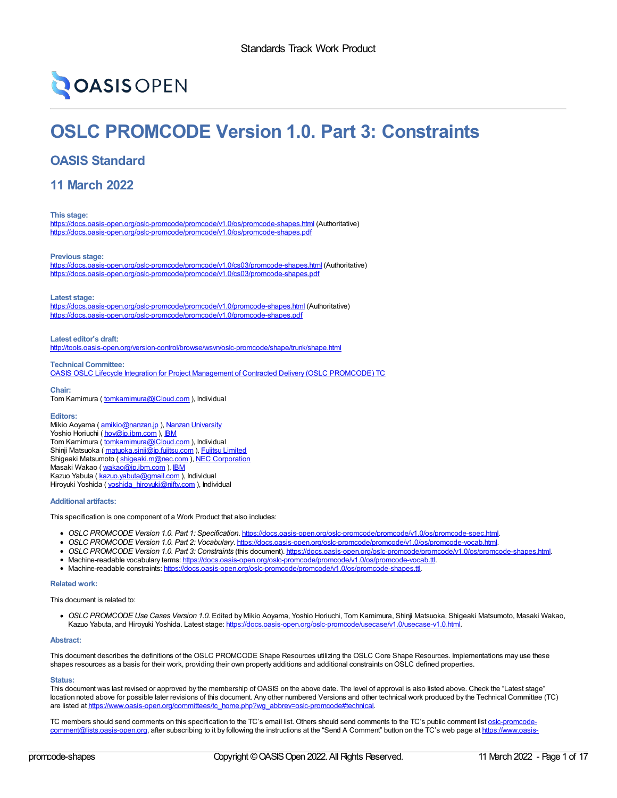# **OASIS OPEN**

## **OSLC PROMCODE Version 1.0. Part 3: Constraints**

## **OASIS Standard**

**11 March 2022**

**This stage:**

<https://docs.oasis-open.org/oslc-promcode/promcode/v1.0/os/promcode-shapes.html> (Authoritative) <https://docs.oasis-open.org/oslc-promcode/promcode/v1.0/os/promcode-shapes.pdf>

**Previous stage:**

<https://docs.oasis-open.org/oslc-promcode/promcode/v1.0/cs03/promcode-shapes.html> (Authoritative) <https://docs.oasis-open.org/oslc-promcode/promcode/v1.0/cs03/promcode-shapes.pdf>

**Latest stage:**

<https://docs.oasis-open.org/oslc-promcode/promcode/v1.0/promcode-shapes.html> (Authoritative) <https://docs.oasis-open.org/oslc-promcode/promcode/v1.0/promcode-shapes.pdf>

**Latest editor's draft:** <http://tools.oasis-open.org/version-control/browse/wsvn/oslc-promcode/shape/trunk/shape.html>

**Technical Committee:** OASIS OSLC Lifecycle Integration for Project Management of Contracted Delivery (OSLC [PROMCODE\)](https://www.oasis-open.org/committees/tc_home.php?wg_abbrev=oslc-promcode) TC

**Chair:** Tom Kamimura ( [tomkamimura@iCloud.com](mailto:tomk@iCloud.com) ), Individual

#### **Editors:**

Mikio Aoyama ( [amikio@nanzan.jp](mailto:amikio@nanzan.jp) ), Nanzan [University](http://www.nanzan-u.ac.jp) Yoshio Horiuchi ( [hoy@jp.ibm.com](mailto:hoy@jp.ibm.com) ), [IBM](http://ibm.com/) Tom Kamimura ( [tomkamimura@iCloud.com](mailto:tomkamimura@iCloud.com) ), Individual Shinji Matsuoka ( [matuoka.sinji@jp.fujitsu.com](mailto:matuoka.sinji@jp.fujitsu.com) ), Fujitsu [Limited](https://www.fujitsu.com/) Shigeaki Matsumoto ( [shigeaki.m@nec.com](mailto:shigeaki.m@nec.com) ), NEC [Corporation](http://www.nec.com/) Masaki Wakao ( [wakao@jp.ibm.com](mailto:wakao@jp.ibm.com) ), [IBM](http://ibm.com/) Kazuo Yabuta ( [kazuo.yabuta@gmail.com](mailto:kazuo.yabuta@gmail.com) ), Individual Hiroyuki Yoshida ( [yoshida\\_hiroyuki@nifty.com](mailto:yoshida_hiroyuki@nifty.com) ), Individual

**Additional artifacts:**

This specification is one component of a Work Product that also includes:

- *OSLC PROMCODE Version 1.0. Part 1: Specification*. <https://docs.oasis-open.org/oslc-promcode/promcode/v1.0/os/promcode-spec.html>.
- *OSLC PROMCODE Version 1.0. Part 2: Vocabulary*. <https://docs.oasis-open.org/oslc-promcode/promcode/v1.0/os/promcode-vocab.html>.
- *OSLC PROMCODE Version 1.0. Part 3: Constraints* (this document). <https://docs.oasis-open.org/oslc-promcode/promcode/v1.0/os/promcode-shapes.html>.
- Machine-readable vocabulary terms: <https://docs.oasis-open.org/oslc-promcode/promcode/v1.0/os/promcode-vocab.ttl>.
- Machine-readable constraints: <https://docs.oasis-open.org/oslc-promcode/promcode/v1.0/os/promcode-shapes.ttl>.

#### **Related work:**

This document is related to:

*OSLC PROMCODE Use Cases Version 1.0.* Edited by Mikio Aoyama, Yoshio Horiuchi, Tom Kamimura, Shinji Matsuoka, Shigeaki Matsumoto, Masaki Wakao, Kazuo Yabuta, and Hiroyuki Yoshida. Latest stage: <https://docs.oasis-open.org/oslc-promcode/usecase/v1.0/usecase-v1.0.html>

#### **Abstract:**

This document describes the definitions of the OSLC PROMCODE Shape Resources utilizing the OSLC Core Shape Resources. Implementations may use these shapes resources as a basis for their work, providing their own property additions and additional constraints onOSLC defined properties.

#### **Status:**

This document was last revised or approved by the membership of OASIS on the above date. The level of approval is also listed above. Check the "Latest stage" location noted above for possible later revisions of this document. Any other numbered Versions and other technical work produced by the Technical Committee (TC) are listed at [https://www.oasis-open.org/committees/tc\\_home.php?wg\\_abbrev=oslc-promcode#technical](https://www.oasis-open.org/committees/tc_home.php?wg_abbrev=oslc-promcode#technical).

TC members should send comments on this specification to the TC's email list. Others should send comments to the TC's public comment list oslc-promcode[comment@lists.oasis-open.org,](https://www.oasis-open.org/committees/oslc-promcode/) after subscribing to it by following the instructions at the "Send A Comment" button on the TC's web page at https://www.oasis-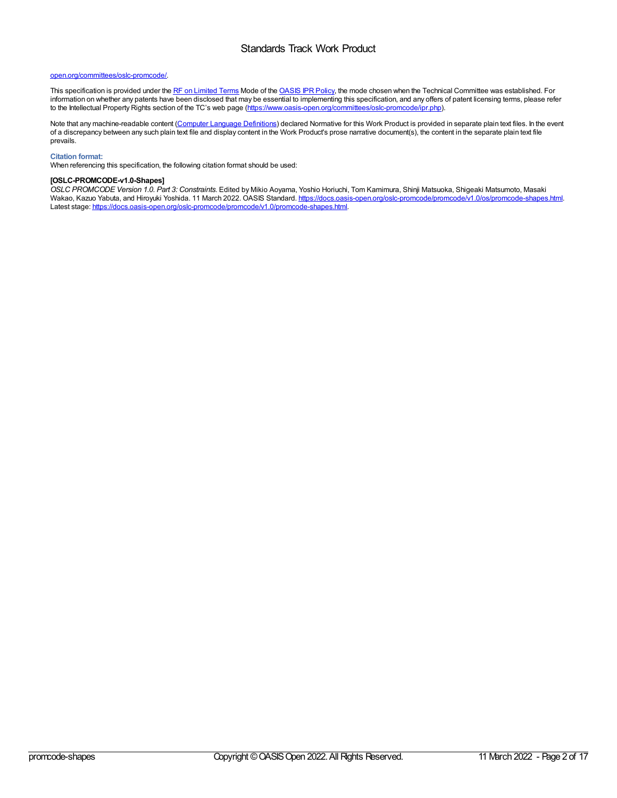#### open.org/committees/oslc-promcode/.

This specification is provided under the RF on [Limited](https://www.oasis-open.org/policies-guidelines/ipr/#RF-on-Limited-Mode) Terms Mode of the [OASIS](https://www.oasis-open.org/policies-guidelines/ipr/) IPR Policy, the mode chosen when the Technical Committee was established. For information on whether any patents have been disclosed that may be essential to implementing this specification, and any offers of patent licensing terms, please refer information on whether any patents have been disclosed to the Intellectual Property Rights section of the TC's web page [\(https://www.oasis-open.org/committees/oslc-promcode/ipr.php](https://www.oasis-open.org/committees/oslc-promcode/ipr.php)).

Note that any machine-readable content (Computer Language [Definitions](https://www.oasis-open.org/policies-guidelines/tc-process-2017-05-26/#wpComponentsCompLang)) declared Normative for this Work Product is provided in separate plain text files. In the event of a discrepancy between any such plain text file and display content in the Work Product's prose narrative document(s), the content in the separate plain text file prevails.

#### **Citation format:**

When referencing this specification, the following citation format should be used:

#### **[OSLC-PROMCODE-v1.0-Shapes]**

*OSLC PROMCODE Version 1.0. Part 3: Constraints*. Edited by Mikio Aoyama, Yoshio Horiuchi, Tom Kamimura, Shinji Matsuoka, Shigeaki Matsumoto, Masaki Wakao, Kazuo Yabuta, and Hiroyuki Yoshida. 11 March 2022. OASIS Standard. <https://docs.oasis-open.org/oslc-promcode/promcode/v1.0/os/promcode-shapes.html>. Latest stage: <https://docs.oasis-open.org/oslc-promcode/promcode/v1.0/promcode-shapes.html>.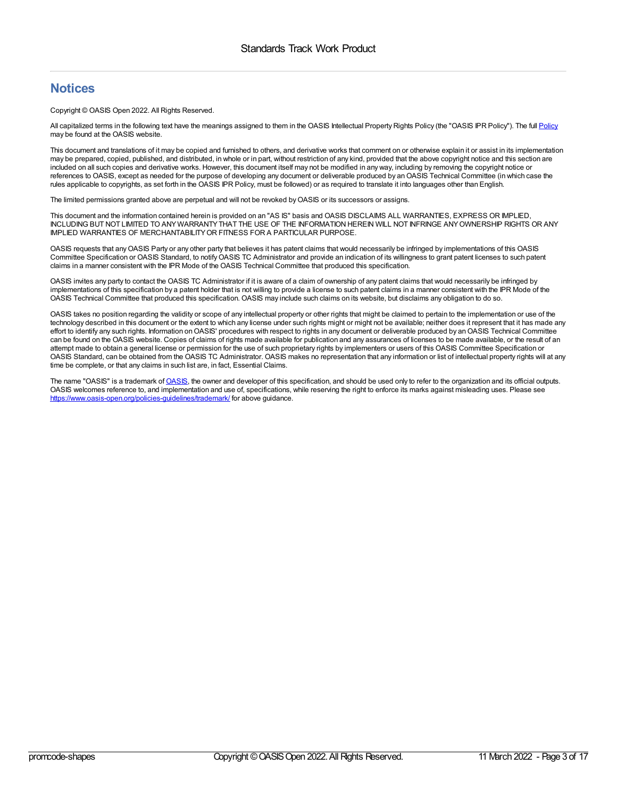## **Notices**

Copyright © OASIS Open 2022. All Rights Reserved.

All capitalized terms in the following text have the meanings assigned to them in the OASIS Intellectual Property Rights [Policy](https://www.oasis-open.org/policies-guidelines/ipr/) (the "OASIS IPR Policy"). The full Policy may be found at the OASIS website.

This document and translations of it may be copied and furnished to others, and derivative works that comment on or otherwise explain it or assist in its implementation may be prepared, copied, published, and distributed, in whole or in part, without restriction of any kind, provided that the above copyright notice and this section are included on all such copies and derivative works. However, this document itself may not be modified in any way, including by removing the copyright notice or references to OASIS, except as needed for the purpose of developing any document or deliverable produced by an OASIS Technical Committee (in which case the rules applicable to copyrights, as set forth in the OASIS IPR Policy, must be followed) or as required to translate it into languages other than English.

The limited permissions granted above are perpetual and will not be revoked by OASIS or its successors or assigns.

This document and the information contained herein is provided on an "AS IS" basis and OASIS DISCLAIMS ALL WARRANTIES, EXPRESS OR IMPLIED, INCLUDING BUT NOT LIMITED TO ANYWARRANTYTHAT THE USE OF THE INFORMATION HEREIN WILL NOT INFRINGE ANYOWNERSHIP RIGHTS OR ANY IMPLIED WARRANTIES OF MERCHANTABILITYOR FITNESS FOR A PARTICULAR PURPOSE.

OASIS requests that anyOASIS Party or any other party that believes it has patent claims that would necessarily be infringed by implementations of this OASIS Committee Specification or OASIS Standard, to notifyOASIS TC Administrator and provide an indication of its willingness to grant patent licenses to such patent claims in a manner consistent with the IPR Mode of the OASIS Technical Committee that produced this specification

OASIS invites any party to contact the OASIS TC Administrator if it is aware of a claim of ownership of any patent claims that would necessarily be infringed by implementations of this specification by a patent holder that is not willing to provide a license to such patent claims in a manner consistent with the IPR Mode of the OASIS Technical Committee that produced this specification. OASIS may include such claims on its website, but disclaims any obligation to do so.

OASIS takes no position regarding the validity or scope of any intellectual property or other rights that might be claimed to pertain to the implementation or use of the technology described in this document or the extent to which any license under such rights might or might not be available; neither does it represent that it has made any effort to identify any such rights. Information on OASIS' procedures with respect to rights in any document or deliverable produced by an OASIS Technical Committee can be found on the OASIS website. Copies of claims of rights made available for publication and any assurances of licenses to be made available, or the result of an attempt made to obtain a general license or permission for the use of such proprietary rights by implementers or users of this OASIS Committee Specification or OASIS Standard, can be obtained from the OASIS TC Administrator. OASIS makes no representation that any information or list of intellectual property rights will at any time be complete, or that any claims in such list are, in fact, Essential Claims.

The name "[OASIS](https://www.oasis-open.org/)" is a trademark of OASIS, the owner and developer of this specification, and should be used only to refer to the organization and its official outputs. OASIS welcomes reference to, and implementation and use of, specifications, while reserving the right to enforce its marks against misleading uses. Please see <https://www.oasis-open.org/policies-guidelines/trademark/> for above guidance.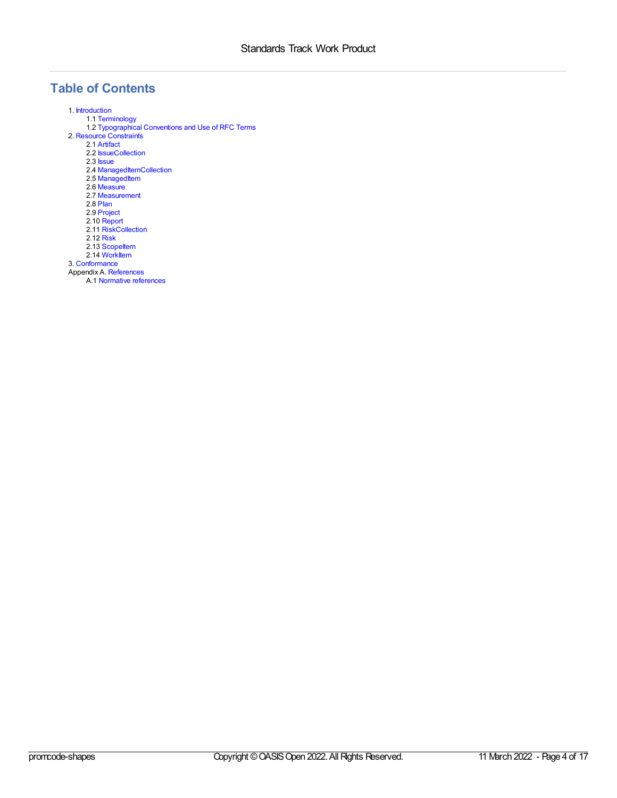## **Table of Contents**

1. [Introduction](#page-4-0) 1.1 [Terminology](#page-4-1) 1.2 [Typographical](#page-4-2) Conventions and Use of RFC Terms 2. Resource [Constraints](#page-9-0) 2.1 [Artifact](#page-5-0) 2.2 **[IssueCollection](#page-6-0)** 2.3 [Issue](#page-6-1) 2.4 [ManagedItemCollection](#page-7-0) 2.5 [ManagedItem](#page-8-0) 2.6 [Measure](#page-8-1) 2.7 [Measurement](#page-9-1) 2.8 [Plan](#page-9-2) 2.9 [Project](#page-10-0) 2.10 [Report](#page-11-0) 2.11 [RiskCollection](#page-12-0) 2.12 [Risk](#page-12-1) 2.13 Scopeltem 2.14 [WorkItem](#page-14-0) 3. [Conformance](#page-15-0) Appendix A. [References](#page-16-0) A.1 Normative [references](#page-16-1)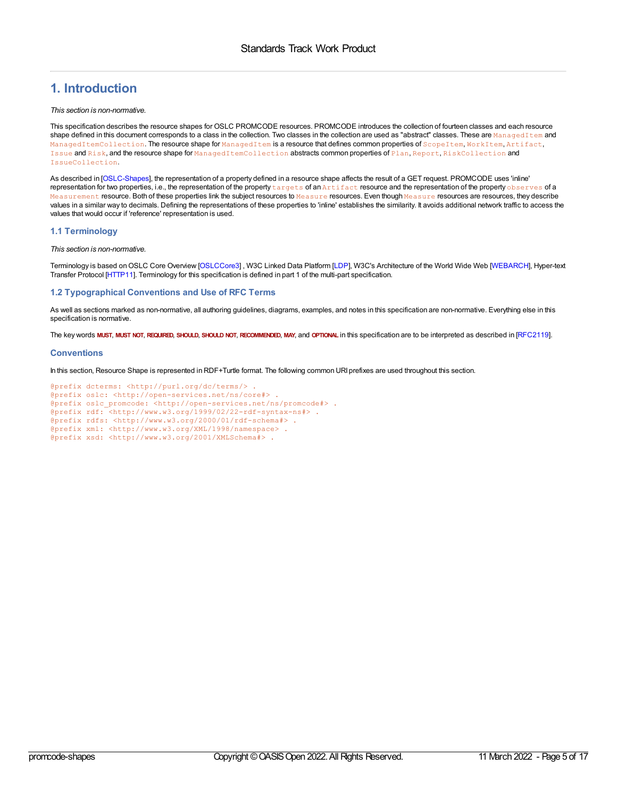## <span id="page-4-0"></span>**1. Introduction**

#### *This section is non-normative.*

This specification describes the resource shapes for OSLC PROMCODE resources. PROMCODE introduces the collection of fourteen classes and each resource shape defined in this document corresponds to a class in the collection. Two classes in the collection are used as "abstract" classes. These are ManagedItem and ManagedItemCollection. The resource shape for ManagedItem is a resource that defines common properties of ScopeItem, WorkItem, Artifact, Issue and Risk, and the resource shape for ManagedItemCollection abstracts common properties of Plan, Report, RiskCollection and IssueCollection.

As described in [\[OSLC-Shapes\]](#page-16-2), the representation of a property defined in a resource shape affects the result of a GET request. PROMCODE uses 'inline' representation for two properties, i.e., the representation of the property targets of an Artifact resource and the representation of the property observes of a Measurement resource. Both of these properties link the subject resources to Measure resources. Even though Measure resources are resources, they describe values in a similar way to decimals. Defining the representations of these properties to 'inline' establishes the similarity. It avoids additional network traffic to access the values that would occur if 'reference' representation is used.

#### <span id="page-4-1"></span>**1.1 Terminology**

#### *This section is non-normative.*

Terminology is based onOSLC Core Overview [\[OSLCCore3](#page-16-3)] , W3C Linked Data Platform [[LDP\]](#page-16-4), W3C's Architecture of the World Wide Web [\[WEBARCH](#page-16-5)], Hyper-text Transfer Protocol [\[HTTP11](#page-16-6)]. Terminology for this specification is defined in part 1 of the multi-part specification.

#### <span id="page-4-2"></span>**1.2 Typographical Conventions and Use of RFC Terms**

As well as sections marked as non-normative, all authoring guidelines, diagrams, examples, and notes in this specification are non-normative. Everything else in this specification is normative.

The key words MUST, MUST NOT, REQUIRED, SHOULD, SHOULD NOT, RECOMMENDED, MAY, and OPTIONAL in this specification are to be interpreted as described in [\[RFC2119](#page-16-7)].

#### **Conventions**

In this section, Resource Shape is represented in RDF+Turtle format. The following common URI prefixes are used throughout this section.

```
@prefix dcterms: <http://purl.org/dc/terms/> .
@prefix oslc: <http://open-services.net/ns/core#> .
@prefix oslc_promcode: <http://open-services.net/ns/promcode#> .
@prefix rdf: <http://www.w3.org/1999/02/22-rdf-syntax-ns#> .
@prefix rdfs: <http://www.w3.org/2000/01/rdf-schema#> .
@prefix xml: <http://www.w3.org/XML/1998/namespace> .
@prefix xsd: <http://www.w3.org/2001/XMLSchema#> .
```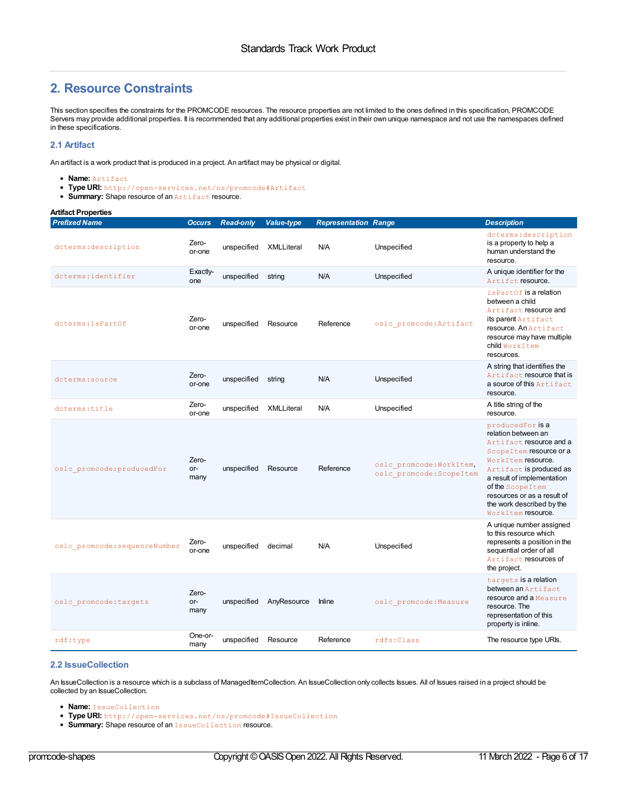## **2. Resource Constraints**

This section specifies the constraints for the PROMCODE resources. The resource properties are not limited to the ones defined in this specification, PROMCODE Servers may provide additional properties. It is recommended that any additional properties exist in their own unique namespace and not use the namespaces defined in these specifications.

#### <span id="page-5-0"></span>**2.1 Artifact**

An artifact is a work product that is produced in a project. An artifact may be physical or digital.

- **Name:** Artifact
- **Type URI:** http://open-services.net/ns/promcode#Artifact
- **Summary:** Shape resource of an **Artifact** resource.

| <b>Artifact Properties</b>    |                      |                  |                   |                             |                                                      |                                                                                                                                                                                                                                                                                       |
|-------------------------------|----------------------|------------------|-------------------|-----------------------------|------------------------------------------------------|---------------------------------------------------------------------------------------------------------------------------------------------------------------------------------------------------------------------------------------------------------------------------------------|
| <b>Prefixed Name</b>          | <b>Occurs</b>        | <b>Read-only</b> | <b>Value-type</b> | <b>Representation Range</b> |                                                      | <b>Description</b>                                                                                                                                                                                                                                                                    |
| dcterms: description          | Zero-<br>or-one      | unspecified      | XMLLiteral        | N/A                         | Unspecified                                          | dcterms: description<br>is a property to help a<br>human understand the<br>resource.                                                                                                                                                                                                  |
| dcterms: identifier           | Exactly-<br>one      | unspecified      | string            | N/A                         | Unspecified                                          | A unique identifier for the<br>Artifct resource.                                                                                                                                                                                                                                      |
| dcterms: is PartOf            | Zero-<br>or-one      | unspecified      | Resource          | Reference                   | oslc promcode: Artifact                              | is Part Of is a relation<br>between a child<br>Artifact resource and<br>its parent Artifact<br>resource. An Artifact<br>resource may have multiple<br>child WorkItem<br>resources.                                                                                                    |
| dcterms: source               | Zero-<br>or-one      | unspecified      | string            | N/A                         | Unspecified                                          | A string that identifies the<br>Artifact resource that is<br>a source of this Artifact<br>resource.                                                                                                                                                                                   |
| dcterms:title                 | Zero-<br>or-one      | unspecified      | <b>XMLLiteral</b> | N/A                         | Unspecified                                          | A title string of the<br>resource.                                                                                                                                                                                                                                                    |
| oslc promcode: producedFor    | Zero-<br>or-<br>many | unspecified      | Resource          | Reference                   | oslc promcode: WorkItem,<br>oslc promcode: ScopeItem | producedFor is a<br>relation between an<br>Artifact resource and a<br>Scope I tem resource or a<br>WorkItem resource.<br>Artifact is produced as<br>a result of implementation<br>of the Scope Item<br>resources or as a result of<br>the work described by the<br>WorkItem resource. |
| oslc promcode: sequenceNumber | Zero-<br>or-one      | unspecified      | decimal           | N/A                         | Unspecified                                          | A unique number assigned<br>to this resource which<br>represents a position in the<br>sequential order of all<br>Artifact resources of<br>the project.                                                                                                                                |
| oslc promcode: targets        | Zero-<br>or-<br>many | unspecified      | AnyResource       | <b>Inline</b>               | oslc promcode: Measure                               | targets is a relation<br>between an Artifact<br>resource and a Measure<br>resource. The<br>representation of this<br>property is inline.                                                                                                                                              |
| rdf:type                      | One-or-<br>many      | unspecified      | Resource          | Reference                   | rdfs:Class                                           | The resource type URIs.                                                                                                                                                                                                                                                               |

#### **2.2 IssueCollection**

An IssueCollection is a resource which is a subclass of ManagedItemCollection. An IssueCollection only collects Issues. All of Issues raised in a project should be collected by an IssueCollection.

- **Name:** IssueCollection
- **Type URI:** http://open-services.net/ns/promcode#IssueCollection
- **Summary:** Shape resource of an IssueCollection resource.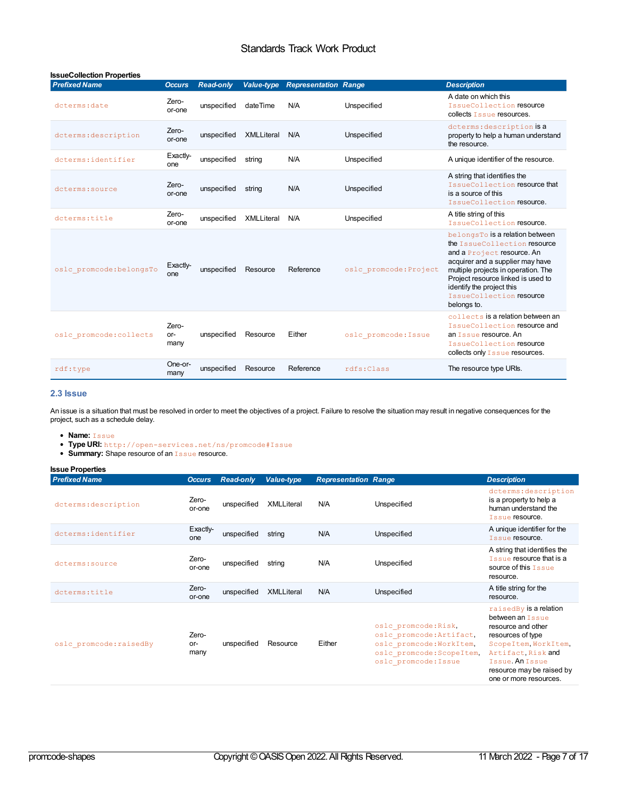<span id="page-6-0"></span>

| <b>IssueCollection Properties</b> |                      |                  |                   |                             |                        |                                                                                                                                                                                                                                                                                        |
|-----------------------------------|----------------------|------------------|-------------------|-----------------------------|------------------------|----------------------------------------------------------------------------------------------------------------------------------------------------------------------------------------------------------------------------------------------------------------------------------------|
| <b>Prefixed Name</b>              | <b>Occurs</b>        | <b>Read-only</b> | Value-type        | <b>Representation Range</b> |                        | <b>Description</b>                                                                                                                                                                                                                                                                     |
| dcterms: date                     | Zero-<br>or-one      | unspecified      | dateTime          | N/A                         | Unspecified            | A date on which this<br>IssueCollection resource<br>collects Issue resources.                                                                                                                                                                                                          |
| dcterms: description              | Zero-<br>or-one      | unspecified      | <b>XMLLiteral</b> | N/A                         | Unspecified            | dcterms: description is a<br>property to help a human understand<br>the resource.                                                                                                                                                                                                      |
| dcterms: identifier               | Exactly-<br>one      | unspecified      | string            | N/A                         | Unspecified            | A unique identifier of the resource.                                                                                                                                                                                                                                                   |
| dcterms: source                   | Zero-<br>or-one      | unspecified      | string            | N/A                         | Unspecified            | A string that identifies the<br>IssueCollection resource that<br>is a source of this<br>IssueCollection resource.                                                                                                                                                                      |
| dcterms:title                     | Zero-<br>or-one      | unspecified      | XMLLiteral        | N/A                         | Unspecified            | A title string of this<br>IssueCollection resource.                                                                                                                                                                                                                                    |
| oslc promcode: belongsTo          | Exactly-<br>one      | unspecified      | Resource          | Reference                   | oslc promcode: Project | belongsTo is a relation between<br>the IssueCollection resource<br>and a Project resource. An<br>acquirer and a supplier may have<br>multiple projects in operation. The<br>Project resource linked is used to<br>identify the project this<br>IssueCollection resource<br>belongs to. |
| oslc promcode: collects           | Zero-<br>or-<br>many | unspecified      | Resource          | Either                      | oslc promcode: Issue   | collects is a relation between an<br>IssueCollection resource and<br>an Issue resource. An<br>IssueCollection resource<br>collects only Issue resources.                                                                                                                               |
| rdf:type                          | One-or-<br>many      | unspecified      | Resource          | Reference                   | rdfs:Class             | The resource type URIs.                                                                                                                                                                                                                                                                |

#### <span id="page-6-1"></span>**2.3 Issue**

An issue is a situation that must be resolved in order to meet the objectives of a project. Failure to resolve the situation may result in negative consequences for the project, such as a schedule delay.

- **Name:** Issue
- **Type URI:** http://open-services.net/ns/promcode#Issue
- **Summary:** Shape resource of an **Issue** resource.

| <b>Issue Properties</b> |                      |                  |                   |                             |                                                                                                                                   |                                                                                                                                                                                                               |
|-------------------------|----------------------|------------------|-------------------|-----------------------------|-----------------------------------------------------------------------------------------------------------------------------------|---------------------------------------------------------------------------------------------------------------------------------------------------------------------------------------------------------------|
| <b>Prefixed Name</b>    | <b>Occurs</b>        | <b>Read-only</b> | <b>Value-type</b> | <b>Representation Range</b> |                                                                                                                                   | <b>Description</b>                                                                                                                                                                                            |
| dcterms: description    | Zero-<br>or-one      | unspecified      | <b>XMLLiteral</b> | N/A                         | Unspecified                                                                                                                       | dcterms: description<br>is a property to help a<br>human understand the<br>Issue resource.                                                                                                                    |
| dcterms: identifier     | Exactly-<br>one      | unspecified      | string            | N/A                         | Unspecified                                                                                                                       | A unique identifier for the<br>Issue resource.                                                                                                                                                                |
| dcterms: source         | Zero-<br>or-one      | unspecified      | string            | N/A                         | Unspecified                                                                                                                       | A string that identifies the<br>Issue resource that is a<br>source of this Issue<br>resource.                                                                                                                 |
| dcterms:title           | Zero-<br>or-one      | unspecified      | <b>XMLLiteral</b> | N/A                         | Unspecified                                                                                                                       | A title string for the<br>resource.                                                                                                                                                                           |
| oslc promcode: raisedBy | Zero-<br>or-<br>many | unspecified      | Resource          | Either                      | oslc promcode: Risk,<br>oslc promcode: Artifact,<br>oslc promcode: WorkItem,<br>oslc promcode: ScopeItem,<br>oslc promcode: Issue | raisedBy is a relation<br>between an Issue<br>resource and other<br>resources of type<br>ScopeItem, WorkItem,<br>Artifact, Risk and<br>Issue. An Issue<br>resource may be raised by<br>one or more resources. |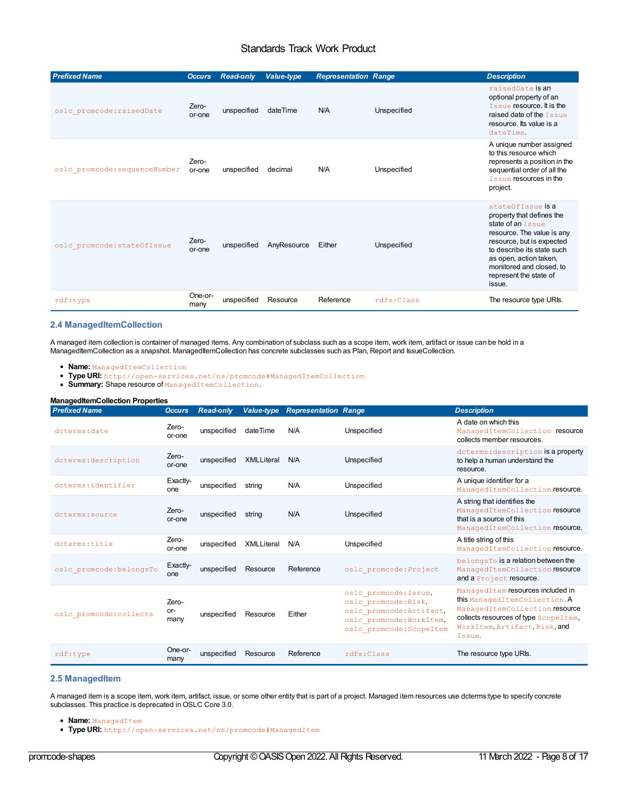| <b>Prefixed Name</b>          | <b>Occurs</b>   | <b>Read-only</b> | Value-type  | <b>Representation Range</b> |             | <b>Description</b>                                                                                                                                                                                                                                            |
|-------------------------------|-----------------|------------------|-------------|-----------------------------|-------------|---------------------------------------------------------------------------------------------------------------------------------------------------------------------------------------------------------------------------------------------------------------|
| oslc promcode: raisedDate     | Zero-<br>or-one | unspecified      | dateTime    | N/A                         | Unspecified | raisedDate is an<br>optional property of an<br><b>Tssue resource. It is the</b><br>raised date of the <b>Tssue</b><br>resource. Its value is a<br>dateTime.                                                                                                   |
| oslc promcode: sequenceNumber | Zero-<br>or-one | unspecified      | decimal     | N/A                         | Unspecified | A unique number assigned<br>to this resource which<br>represents a position in the<br>sequential order of all the<br><b>Tssue resources in the</b><br>project.                                                                                                |
| oslc promcode: stateOfIssue   | Zero-<br>or-one | unspecified      | AnyResource | Either                      | Unspecified | stateOfTssue is a<br>property that defines the<br>state of an <b>Tssue</b><br>resource. The value is any<br>resource, but is expected<br>to describe its state such<br>as open, action taken,<br>monitored and closed, to<br>represent the state of<br>issue. |
| rdf:type                      | One-or-<br>many | unspecified      | Resource    | Reference                   | rdfs:Class  | The resource type URIs.                                                                                                                                                                                                                                       |

#### <span id="page-7-0"></span>**2.4 ManagedItemCollection**

A managed item collection is container of managed items. Any combination of subclass such as a scope item, work item, artifact or issue can be hold in a ManagedItemCollection as a snapshot. ManagedItemCollection has concrete subclasses such as Plan, Report and IssueCollection.

- **Name:** ManagedItemCollection
- **Type URI:** http://open-services.net/ns/promcode#ManagedItemCollection
- Summary: Shape resource of ManagedItemCollection.

| <b>ManagedItemCollection Properties</b> |                      |                  |                   |                             |                                                                                                                                   |                                                                                                                                                                                            |  |  |  |
|-----------------------------------------|----------------------|------------------|-------------------|-----------------------------|-----------------------------------------------------------------------------------------------------------------------------------|--------------------------------------------------------------------------------------------------------------------------------------------------------------------------------------------|--|--|--|
| <b>Prefixed Name</b>                    | <b>Occurs</b>        | <b>Read-only</b> | Value-type        | <b>Representation Range</b> |                                                                                                                                   | <b>Description</b>                                                                                                                                                                         |  |  |  |
| dcterms: date                           | Zero-<br>or-one      | unspecified      | dateTime          | N/A                         | Unspecified                                                                                                                       | A date on which this<br>ManagedItemCollection resource<br>collects member resources.                                                                                                       |  |  |  |
| dcterms: description                    | Zero-<br>or-one      | unspecified      | <b>XMLLiteral</b> | N/A                         | Unspecified                                                                                                                       | dcterms: description is a property<br>to help a human understand the<br>resource.                                                                                                          |  |  |  |
| dcterms: identifier                     | Exactly-<br>one      | unspecified      | string            | N/A                         | Unspecified                                                                                                                       | A unique identifier for a<br>ManagedItemCollection resource.                                                                                                                               |  |  |  |
| dcterms: source                         | Zero-<br>or-one      | unspecified      | string            | N/A                         | Unspecified                                                                                                                       | A string that identifies the<br>ManagedItemCollection resource<br>that is a source of this<br>ManagedItemCollection resource.                                                              |  |  |  |
| doterms:title                           | Zero-<br>or-one      | unspecified      | <b>XMLLiteral</b> | N/A                         | Unspecified                                                                                                                       | A title string of this<br>ManagedItemCollection resource.                                                                                                                                  |  |  |  |
| oslc promcode: belongsTo                | Exactly-<br>one      | unspecified      | Resource          | Reference                   | oslc promcode: Project                                                                                                            | belongsTo is a relation between the<br>ManagedItemCollection resource<br>and a Project resource.                                                                                           |  |  |  |
| oslc promcode: collects                 | Zero-<br>or-<br>many | unspecified      | Resource          | Either                      | oslc promcode: Issue,<br>oslc promcode: Risk,<br>oslc promcode: Artifact,<br>oslc promcode: WorkItem,<br>oslc promcode: ScopeItem | ManagedItem resources included in<br>this ManagedItemCollection. A<br>ManagedItemCollection resource<br>collects resources of type Scope I tem.<br>WorkItem, Artifact, Risk, and<br>Tssue. |  |  |  |
| rdf:type                                | One-or-<br>many      | unspecified      | Resource          | Reference                   | rdfs:Class                                                                                                                        | The resource type URIs.                                                                                                                                                                    |  |  |  |

#### **2.5 ManagedItem**

A managed item is a scope item, work item, artifact, issue, or some other entity that is part of a project. Managed item resources use dcterms:type to specify concrete subclasses. This practice is deprecated in OSLC Core 3.0.

- **Name:** ManagedItem
- **Type URI:** http://open-services.net/ns/promcode#ManagedItem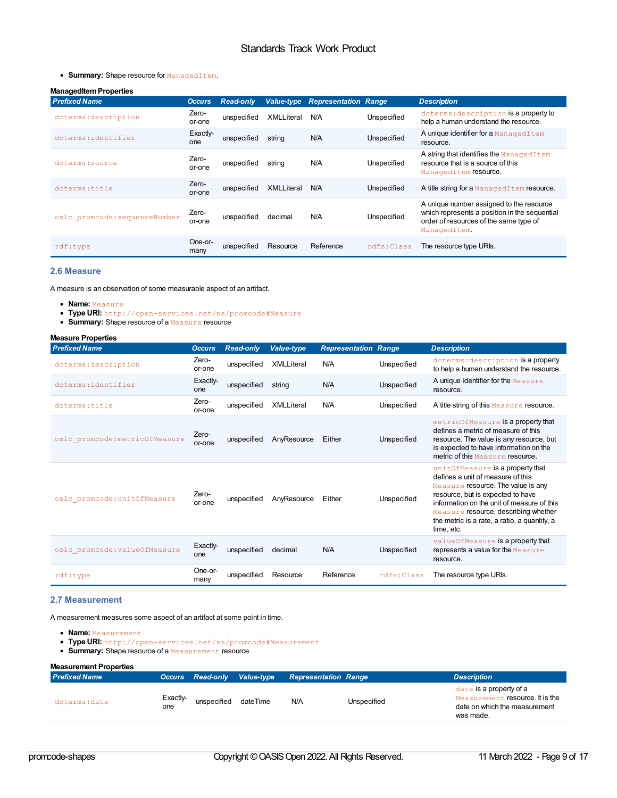#### <span id="page-8-0"></span>**• Summary:** Shape resource for ManagedItem.

#### **ManagedItemProperties**

| <b>Prefixed Name</b>          | <b>Occurs</b>   | <b>Read-only</b> | <b>Value-type</b> | <b>Representation Range</b> |             | <b>Description</b>                                                                                                                                  |
|-------------------------------|-----------------|------------------|-------------------|-----------------------------|-------------|-----------------------------------------------------------------------------------------------------------------------------------------------------|
| dcterms: description          | Zero-<br>or-one | unspecified      | XMLLiteral        | N/A                         | Unspecified | dcterms: description is a property to<br>help a human understand the resource.                                                                      |
| dcterms: identifier           | Exactly-<br>one | unspecified      | string            | N/A                         | Unspecified | A unique identifier for a ManagedItem<br>resource.                                                                                                  |
| dcterms: source               | Zero-<br>or-one | unspecified      | string            | N/A                         | Unspecified | A string that identifies the ManagedItem<br>resource that is a source of this<br>ManagedItem resource.                                              |
| dcterms:title                 | Zero-<br>or-one | unspecified      | <b>XMLLiteral</b> | N/A                         | Unspecified | A title string for a ManagedItem resource.                                                                                                          |
| oslc promcode: sequenceNumber | Zero-<br>or-one | unspecified      | decimal           | N/A                         | Unspecified | A unique number assigned to the resource<br>which represents a position in the sequential<br>order of resources of the same type of<br>ManagedItem. |
| $\texttt{rdf:type}$           | One-or-<br>many | unspecified      | Resource          | Reference                   | rdfs: Class | The resource type URIs.                                                                                                                             |

#### <span id="page-8-1"></span>**2.6 Measure**

A measure is an observation of some measurable aspect of an artifact.

- **Name:** Measure
- **Type URI:** http://open-services.net/ns/promcode#Measure
- **Summary:** Shape resource of a Measure resource

| <b>Measure Properties</b>      |                 |                  |                   |                             |             |                                                                                                                                                                                                                                                                                                      |
|--------------------------------|-----------------|------------------|-------------------|-----------------------------|-------------|------------------------------------------------------------------------------------------------------------------------------------------------------------------------------------------------------------------------------------------------------------------------------------------------------|
| <b>Prefixed Name</b>           | <b>Occurs</b>   | <b>Read-only</b> | <b>Value-type</b> | <b>Representation Range</b> |             | <b>Description</b>                                                                                                                                                                                                                                                                                   |
| dcterms: description           | Zero-<br>or-one | unspecified      | <b>XMLLiteral</b> | N/A                         | Unspecified | dcterms: description is a property<br>to help a human understand the resource.                                                                                                                                                                                                                       |
| dcterms:identifier             | Exactly-<br>one | unspecified      | string            | N/A                         | Unspecified | A unique identifier for the Measure<br>resource.                                                                                                                                                                                                                                                     |
| doterms:title                  | Zero-<br>or-one | unspecified      | <b>XMLLiteral</b> | N/A                         | Unspecified | A title string of this Measure resource.                                                                                                                                                                                                                                                             |
| oslc promcode: metricOfMeasure | Zero-<br>or-one | unspecified      | AnyResource       | Either                      | Unspecified | metricOfMeasure is a property that<br>defines a metric of measure of this<br>resource. The value is any resource, but<br>is expected to have information on the<br>metric of this Measure resource.                                                                                                  |
| oslc promcode: unitOfMeasure   | Zero-<br>or-one | unspecified      | AnyResource       | Either                      | Unspecified | unitOfMeasure is a property that<br>defines a unit of measure of this<br>Measure resource. The value is any<br>resource, but is expected to have<br>information on the unit of measure of this<br>Measure resource, describing whether<br>the metric is a rate, a ratio, a quantity, a<br>time, etc. |
| oslc promcode: valueOfMeasure  | Exactly-<br>one | unspecified      | decimal           | N/A                         | Unspecified | valueOfMeasure is a property that<br>represents a value for the Measure<br>resource.                                                                                                                                                                                                                 |
| rdf:type                       | One-or-<br>many | unspecified      | Resource          | Reference                   | rdfs:Class  | The resource type URIs.                                                                                                                                                                                                                                                                              |

#### **2.7 Measurement**

A measurement measures some aspect of an artifact at some point in time.

- **Name:** Measurement
- **Type URI:** http://open-services.net/ns/promcode#Measurement
- **Summary:** Shape resource of a Measurement resource

#### **Measurement Properties**

| <b>Prefixed Name</b> |                 | <b>Occurs Read-only Value-type</b> |          | <b>Representation Range</b> |             | <b>Description</b>                                                                                       |
|----------------------|-----------------|------------------------------------|----------|-----------------------------|-------------|----------------------------------------------------------------------------------------------------------|
| dcterms:date         | Exactly-<br>one | unspecified                        | dateTime | N/A                         | Unspecified | date is a property of a<br>Measurement resource. It is the<br>date on which the measurement<br>was made. |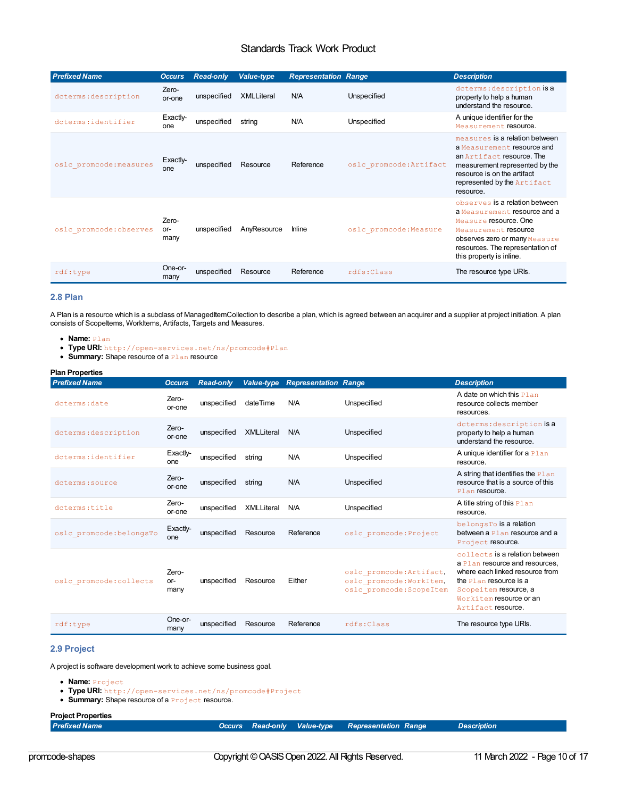<span id="page-9-1"></span><span id="page-9-0"></span>

| <b>Prefixed Name</b>    | <b>Occurs</b>        | <b>Read-only</b> | <b>Value-type</b> | <b>Representation Range</b> |                         | <b>Description</b>                                                                                                                                                                                               |
|-------------------------|----------------------|------------------|-------------------|-----------------------------|-------------------------|------------------------------------------------------------------------------------------------------------------------------------------------------------------------------------------------------------------|
| dcterms: description    | Zero-<br>or-one      | unspecified      | <b>XMLLiteral</b> | N/A                         | Unspecified             | dcterms: description is a<br>property to help a human<br>understand the resource.                                                                                                                                |
| dcterms: identifier     | Exactly-<br>one      | unspecified      | string            | N/A                         | Unspecified             | A unique identifier for the<br>Measurement resource.                                                                                                                                                             |
| oslc promcode: measures | Exactly-<br>one      | unspecified      | Resource          | Reference                   | oslc promcode: Artifact | measures is a relation between<br>a Measurement resource and<br>an Artifact resource. The<br>measurement represented by the<br>resource is on the artifact<br>represented by the Artifact<br>resource.           |
| oslc promcode: observes | Zero-<br>or-<br>many | unspecified      | AnyResource       | <b>Inline</b>               | oslc promcode: Measure  | observes is a relation between<br>a Measurement resource and a<br>Measure resource. One<br>Measurement resource<br>observes zero or many Measure<br>resources. The representation of<br>this property is inline. |
| $\texttt{rdf:type}$     | One-or-<br>many      | unspecified      | Resource          | Reference                   | rdfs:Class              | The resource type URIs.                                                                                                                                                                                          |

#### <span id="page-9-2"></span>**2.8 Plan**

A Plan is a resource which is a subclass of ManagedItemCollection to describe a plan, which is agreed between an acquirer and a supplier at project initiation. A plan consists of ScopeItems, WorkItems, Artifacts, Targets and Measures.

- **Name:** Plan
- **Type URI:** http://open-services.net/ns/promcode#Plan
- **Summary:** Shape resource of a **Plan** resource

#### **Plan Properties**

| <b>Prefixed Name</b>     | <b>Occurs</b>        | <b>Read-only</b> |                   | <b>Value-type Representation Range</b> |                                                                                  | <b>Description</b>                                                                                                                                                                                      |
|--------------------------|----------------------|------------------|-------------------|----------------------------------------|----------------------------------------------------------------------------------|---------------------------------------------------------------------------------------------------------------------------------------------------------------------------------------------------------|
| dcterms: date            | Zero-<br>or-one      | unspecified      | dateTime          | N/A                                    | Unspecified                                                                      | A date on which this Plan<br>resource collects member<br>resources.                                                                                                                                     |
| dcterms: description     | Zero-<br>or-one      | unspecified      | <b>XMLLiteral</b> | N/A                                    | Unspecified                                                                      | dcterms: description is a<br>property to help a human<br>understand the resource.                                                                                                                       |
| dcterms: identifier      | Exactly-<br>one      | unspecified      | string            | N/A                                    | Unspecified                                                                      | A unique identifier for a Plan<br>resource.                                                                                                                                                             |
| doterms: source          | Zero-<br>or-one      | unspecified      | string            | N/A                                    | Unspecified                                                                      | A string that identifies the Plan<br>resource that is a source of this<br>Plan resource.                                                                                                                |
| dcterms:title            | Zero-<br>or-one      | unspecified      | <b>XMLLiteral</b> | N/A                                    | Unspecified                                                                      | A title string of this Plan<br>resource.                                                                                                                                                                |
| oslc promcode: belongsTo | Exactly-<br>one      | unspecified      | Resource          | Reference                              | oslc promcode: Project                                                           | belongsTo is a relation<br>between a Plan resource and a<br>Project resource.                                                                                                                           |
| oslc promcode: collects  | Zero-<br>or-<br>many | unspecified      | Resource          | Either                                 | oslc promcode: Artifact,<br>oslc promcode: WorkItem,<br>oslc promcode: ScopeItem | collects is a relation between<br>a Plan resource and resources.<br>where each linked resource from<br>the Plan resource is a<br>Scopeitem resource, a<br>Workitem resource or an<br>Artifact resource. |
| rdf:type                 | One-or-<br>many      | unspecified      | Resource          | Reference                              | rdfs:Class                                                                       | The resource type URIs.                                                                                                                                                                                 |

#### **2.9 Project**

A project is software development work to achieve some business goal.

- **Name:** Project
- **Type URI:** http://open-services.net/ns/promcode#Project
- **Summary:** Shape resource of a **Project** resource.

## **Project Properties**

*Prefixed Name Occurs Read-only Value-type Representation Range Description*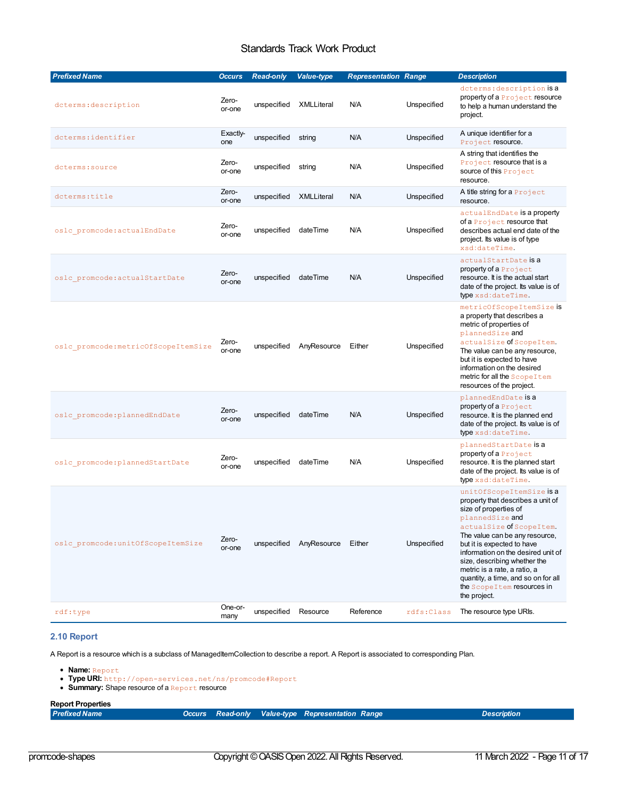<span id="page-10-0"></span>

| <b>Prefixed Name</b>                 | <b>Occurs</b>   | <b>Read-only</b> | <b>Value-type</b> | <b>Representation Range</b> |             | <b>Description</b>                                                                                                                                                                                                                                                                                                                                                                                 |
|--------------------------------------|-----------------|------------------|-------------------|-----------------------------|-------------|----------------------------------------------------------------------------------------------------------------------------------------------------------------------------------------------------------------------------------------------------------------------------------------------------------------------------------------------------------------------------------------------------|
| dcterms: description                 | Zero-<br>or-one | unspecified      | XMLLiteral        | N/A                         | Unspecified | dcterms: description is a<br>property of a Project resource<br>to help a human understand the<br>project.                                                                                                                                                                                                                                                                                          |
| dcterms: identifier                  | Exactly-<br>one | unspecified      | string            | N/A                         | Unspecified | A unique identifier for a<br>Project resource.                                                                                                                                                                                                                                                                                                                                                     |
| dcterms: source                      | Zero-<br>or-one | unspecified      | string            | N/A                         | Unspecified | A string that identifies the<br>Project resource that is a<br>source of this Project<br>resource.                                                                                                                                                                                                                                                                                                  |
| dcterms:title                        | Zero-<br>or-one | unspecified      | XMLLiteral        | N/A                         | Unspecified | A title string for a Project<br>resource.                                                                                                                                                                                                                                                                                                                                                          |
| oslc promcode: actualEndDate         | Zero-<br>or-one | unspecified      | dateTime          | N/A                         | Unspecified | actualEndDate is a property<br>of a Project resource that<br>describes actual end date of the<br>project. Its value is of type<br>xsd:dateTime.                                                                                                                                                                                                                                                    |
| oslc promcode: actualStartDate       | Zero-<br>or-one | unspecified      | dateTime          | N/A                         | Unspecified | actualStartDate is a<br>property of a Project<br>resource. It is the actual start<br>date of the project. Its value is of<br>type xsd:dateTime.                                                                                                                                                                                                                                                    |
| oslc promcode: metricOfScopeItemSize | Zero-<br>or-one | unspecified      | AnyResource       | Either                      | Unspecified | metricOfScopeItemSize is<br>a property that describes a<br>metric of properties of<br>plannedSize and<br>actualSize of ScopeItem.<br>The value can be any resource,<br>but it is expected to have<br>information on the desired<br>metric for all the Scope I tem<br>resources of the project.                                                                                                     |
| oslc promcode: plannedEndDate        | Zero-<br>or-one | unspecified      | dateTime          | N/A                         | Unspecified | plannedEndDate is a<br>property of a Project<br>resource. It is the planned end<br>date of the project. Its value is of<br>type xsd:dateTime.                                                                                                                                                                                                                                                      |
| oslc promcode: plannedStartDate      | Zero-<br>or-one | unspecified      | dateTime          | N/A                         | Unspecified | plannedStartDate is a<br>property of a Project<br>resource. It is the planned start<br>date of the project. Its value is of<br>type xsd:dateTime.                                                                                                                                                                                                                                                  |
| oslc promcode:unitOfScopeItemSize    | Zero-<br>or-one | unspecified      | AnyResource       | Either                      | Unspecified | unitOfScopeItemSize is a<br>property that describes a unit of<br>size of properties of<br>plannedSize and<br>actualSize of ScopeItem.<br>The value can be any resource,<br>but it is expected to have<br>information on the desired unit of<br>size, describing whether the<br>metric is a rate, a ratio, a<br>quantity, a time, and so on for all<br>the Scope I tem resources in<br>the project. |
| $\texttt{rdf:type}$                  | One-or-<br>many | unspecified      | Resource          | Reference                   | rdfs:Class  | The resource type URIs.                                                                                                                                                                                                                                                                                                                                                                            |

**2.10 Report**

A Report is a resource which is a subclass of ManagedItemCollection to describe a report. A Report is associated to corresponding Plan.

- **Name:** Report
- **Type URI:** http://open-services.net/ns/promcode#Report
- **Summary:** Shape resource of a Report resource

#### **Report Properties**

| Prefixed Name |  |  |  | Occurs Read-only Value-type Representation Range |  | <b>Description</b> |
|---------------|--|--|--|--------------------------------------------------|--|--------------------|
|---------------|--|--|--|--------------------------------------------------|--|--------------------|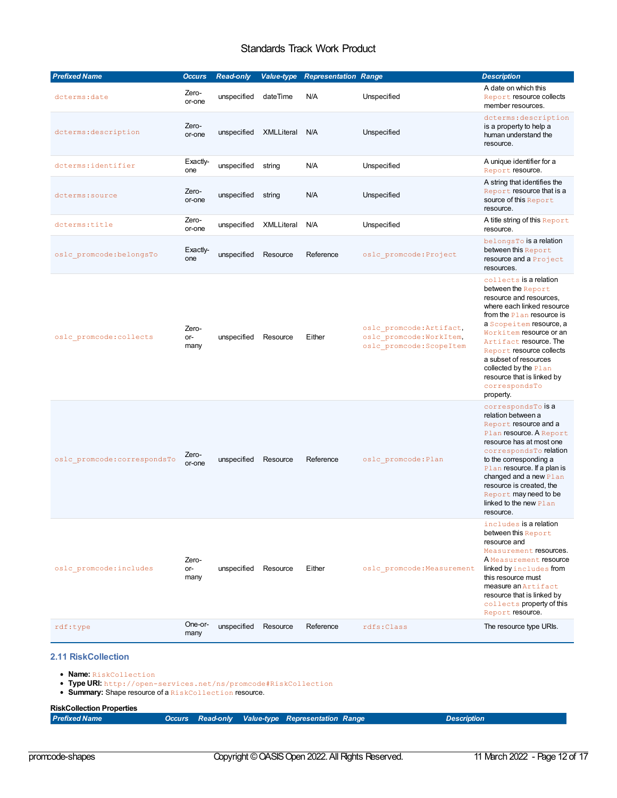<span id="page-11-0"></span>

| <b>Prefixed Name</b>         | <b>Occurs</b>        | <b>Read-only</b> | <b>Value-type</b> | <b>Representation Range</b> |                                                                                  | <b>Description</b>                                                                                                                                                                                                                                                                                                                                             |
|------------------------------|----------------------|------------------|-------------------|-----------------------------|----------------------------------------------------------------------------------|----------------------------------------------------------------------------------------------------------------------------------------------------------------------------------------------------------------------------------------------------------------------------------------------------------------------------------------------------------------|
| dcterms: date                | Zero-<br>or-one      | unspecified      | dateTime          | N/A                         | Unspecified                                                                      | A date on which this<br>Report resource collects<br>member resources.                                                                                                                                                                                                                                                                                          |
| dcterms: description         | Zero-<br>or-one      | unspecified      | XMLLiteral        | N/A                         | Unspecified                                                                      | dcterms: description<br>is a property to help a<br>human understand the<br>resource.                                                                                                                                                                                                                                                                           |
| dcterms: identifier          | Exactly-<br>one      | unspecified      | string            | N/A                         | Unspecified                                                                      | A unique identifier for a<br>Report resource.                                                                                                                                                                                                                                                                                                                  |
| dcterms: source              | Zero-<br>or-one      | unspecified      | string            | N/A                         | Unspecified                                                                      | A string that identifies the<br>Report resource that is a<br>source of this Report<br>resource.                                                                                                                                                                                                                                                                |
| dcterms: title               | Zero-<br>or-one      | unspecified      | XMLLiteral        | N/A                         | Unspecified                                                                      | A title string of this Report<br>resource.                                                                                                                                                                                                                                                                                                                     |
| oslc promcode: belongsTo     | Exactly-<br>one      | unspecified      | Resource          | Reference                   | oslc promcode: Project                                                           | belongsTo is a relation<br>between this Report<br>resource and a Project<br>resources.                                                                                                                                                                                                                                                                         |
| oslc promcode: collects      | Zero-<br>or-<br>many | unspecified      | Resource          | Either                      | oslc promcode: Artifact,<br>oslc promcode: WorkItem,<br>oslc promcode: ScopeItem | collects is a relation<br>between the Report<br>resource and resources,<br>where each linked resource<br>from the Plan resource is<br>a Scopeitem resource, a<br>Workitem resource or an<br>Artifact resource. The<br>Report resource collects<br>a subset of resources<br>collected by the $Plan$<br>resource that is linked by<br>correspondsTo<br>property. |
| oslc promcode: correspondsTo | Zero-<br>or-one      | unspecified      | Resource          | Reference                   | oslc promcode: Plan                                                              | correspondsTo is a<br>relation between a<br>Report resource and a<br>Plan resource. A Report<br>resource has at most one<br>correspondsTo relation<br>to the corresponding a<br>Plan resource. If a plan is<br>changed and a new Plan<br>resource is created, the<br>Report may need to be<br>linked to the new Plan<br>resource.                              |
| oslc promcode: includes      | Zero-<br>or-<br>many | unspecified      | Resource          | Either                      | oslc promcode: Measurement                                                       | includes is a relation<br>between this Report<br>resource and<br>Measurement resources.<br>A Measurement resource<br>linked by includes from<br>this resource must<br>measure an Artifact<br>resource that is linked by<br>collects property of this<br>Report resource.                                                                                       |
| rdf:type                     | One-or-<br>many      | unspecified      | Resource          | Reference                   | rdfs:Class                                                                       | The resource type URIs.                                                                                                                                                                                                                                                                                                                                        |
| <b>2.11 RiskCollection</b>   |                      |                  |                   |                             |                                                                                  |                                                                                                                                                                                                                                                                                                                                                                |

**Name:** RiskCollection

**Type URI:** http://open-services.net/ns/promcode#RiskCollection

Summary: Shape resource of a RiskCollection resource.

#### **RiskCollection Properties**

|  | <b>Prefixed Name</b> |  | Occurs Read-only Value-type Representation Range | <b>Description</b> |
|--|----------------------|--|--------------------------------------------------|--------------------|
|--|----------------------|--|--------------------------------------------------|--------------------|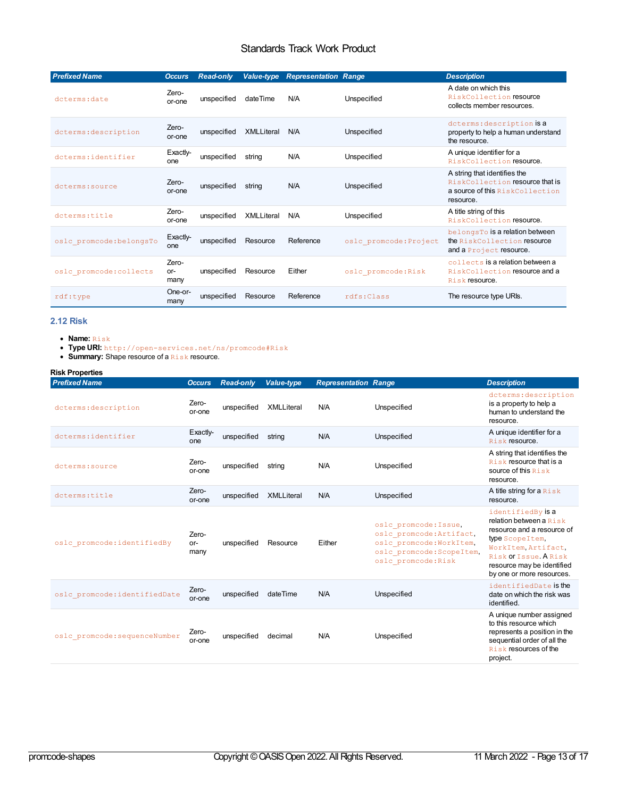<span id="page-12-0"></span>

| <b>Prefixed Name</b>     | <b>Occurs</b>        | <b>Read-only</b> | Value-type        | <b>Representation Range</b> |                        | <b>Description</b>                                                                                              |
|--------------------------|----------------------|------------------|-------------------|-----------------------------|------------------------|-----------------------------------------------------------------------------------------------------------------|
| dcterms: date            | Zero-<br>or-one      | unspecified      | dateTime          | N/A                         | Unspecified            | A date on which this<br>RiskCollection resource<br>collects member resources.                                   |
| dcterms: description     | Zero-<br>or-one      | unspecified      | <b>XMLLiteral</b> | N/A                         | Unspecified            | dcterms: description is a<br>property to help a human understand<br>the resource.                               |
| dcterms:identifier       | Exactly-<br>one      | unspecified      | string            | N/A                         | Unspecified            | A unique identifier for a<br>RiskCollection resource.                                                           |
| dcterms: source          | Zero-<br>or-one      | unspecified      | string            | N/A                         | Unspecified            | A string that identifies the<br>RiskCollection resource that is<br>a source of this RiskCollection<br>resource. |
| dcterms:title            | Zero-<br>or-one      | unspecified      | <b>XMLLiteral</b> | N/A                         | Unspecified            | A title string of this<br>RiskCollection resource.                                                              |
| oslc promcode: belongsTo | Exactly-<br>one      | unspecified      | Resource          | Reference                   | oslc promcode: Project | belongsTo is a relation between<br>the RiskCollection resource<br>and a Project resource.                       |
| oslc promcode: collects  | Zero-<br>or-<br>many | unspecified      | Resource          | Either                      | oslc promcode: Risk    | collects is a relation between a<br>RiskCollection resource and a<br>Risk resource.                             |
| rdf:type                 | One-or-<br>many      | unspecified      | Resource          | Reference                   | rdfs:Class             | The resource type URIs.                                                                                         |

#### <span id="page-12-1"></span>**2.12 Risk**

- **Name:** Risk
- **Type URI:** http://open-services.net/ns/promcode#Risk
- **Summary:** Shape resource of a Risk resource.

#### **Risk Properties**

| <b>Prefixed Name</b>          | <b>Occurs</b>        | <b>Read-only</b> | Value-type        | <b>Representation Range</b> |                                                                                                                                   | <b>Description</b>                                                                                                                                                                                          |
|-------------------------------|----------------------|------------------|-------------------|-----------------------------|-----------------------------------------------------------------------------------------------------------------------------------|-------------------------------------------------------------------------------------------------------------------------------------------------------------------------------------------------------------|
| dcterms: description          | Zero-<br>or-one      | unspecified      | <b>XMLLiteral</b> | N/A                         | Unspecified                                                                                                                       | dcterms: description<br>is a property to help a<br>human to understand the<br>resource.                                                                                                                     |
| dcterms: identifier           | Exactly-<br>one      | unspecified      | string            | N/A                         | Unspecified                                                                                                                       | A unique identifier for a<br>Risk resource.                                                                                                                                                                 |
| dcterms: source               | Zero-<br>or-one      | unspecified      | string            | N/A                         | Unspecified                                                                                                                       | A string that identifies the<br><b>Risk resource that is a</b><br>source of this Risk<br>resource.                                                                                                          |
| dcterms:title                 | Zero-<br>or-one      | unspecified      | <b>XMLLiteral</b> | N/A                         | Unspecified                                                                                                                       | A title string for a Risk<br>resource.                                                                                                                                                                      |
| oslc promcode: identifiedBy   | Zero-<br>or-<br>many | unspecified      | Resource          | Either                      | oslc promcode: Issue,<br>oslc promcode: Artifact,<br>oslc promcode: WorkItem,<br>oslc promcode: ScopeItem,<br>oslc promcode: Risk | identifiedBy is a<br>relation between a $R$ i sk<br>resource and a resource of<br>type Scope Item,<br>WorkItem Artifact,<br>Risk Of Issue A Risk<br>resource may be identified<br>by one or more resources. |
| oslc promcode: identifiedDate | Zero-<br>or-one      | unspecified      | dateTime          | N/A                         | Unspecified                                                                                                                       | identifiedDate is the<br>date on which the risk was<br>identified.                                                                                                                                          |
| oslc promcode: sequenceNumber | Zero-<br>or-one      | unspecified      | decimal           | N/A                         | Unspecified                                                                                                                       | A unique number assigned<br>to this resource which<br>represents a position in the<br>sequential order of all the<br><b>Risk resources of the</b><br>project.                                               |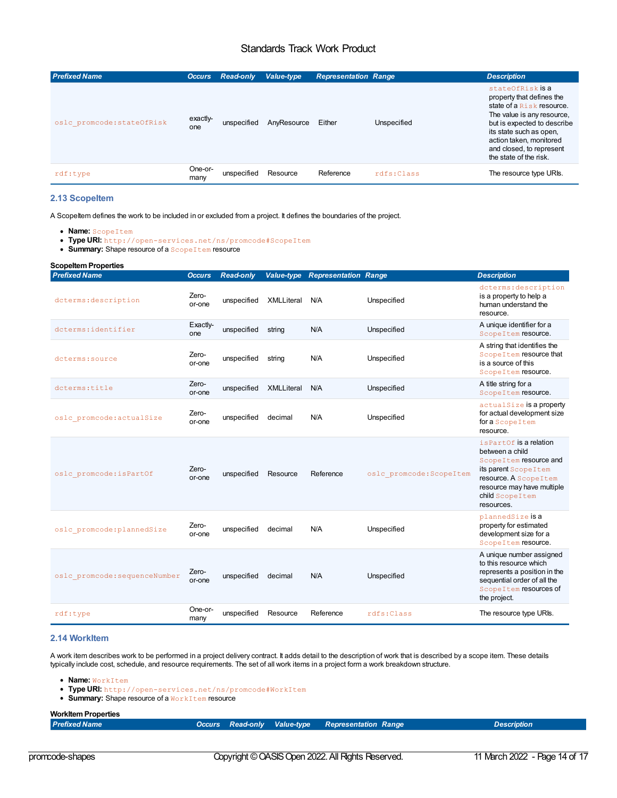| <b>Prefixed Name</b>       | <b>Occurs</b>   | <b>Read-only</b> | Value-type  | <b>Representation Range</b> |             | <b>Description</b>                                                                                                                                                                                                                                  |
|----------------------------|-----------------|------------------|-------------|-----------------------------|-------------|-----------------------------------------------------------------------------------------------------------------------------------------------------------------------------------------------------------------------------------------------------|
| oslc promcode: stateOfRisk | exactly-<br>one | unspecified      | AnyResource | Either                      | Unspecified | stateOfRisk is a<br>property that defines the<br>state of a Risk resource.<br>The value is any resource,<br>but is expected to describe<br>its state such as open.<br>action taken, monitored<br>and closed, to represent<br>the state of the risk. |
| rdf:type                   | One-or-<br>many | unspecified      | Resource    | Reference                   | rdfs:Class  | The resource type URIs.                                                                                                                                                                                                                             |

#### <span id="page-13-0"></span>**2.13 ScopeItem**

A ScopeItem defines the work to be included in or excluded from a project. It defines the boundaries of the project.

- **Name:** ScopeItem
- **Type URI:** http://open-services.net/ns/promcode#ScopeItem
- **Summary:** Shape resource of a **ScopeItem** resource

| <b>Scopeltem Properties</b>   |                 |                  |                   |                                        |                          |                                                                                                                                                                                              |
|-------------------------------|-----------------|------------------|-------------------|----------------------------------------|--------------------------|----------------------------------------------------------------------------------------------------------------------------------------------------------------------------------------------|
| <b>Prefixed Name</b>          | <b>Occurs</b>   | <b>Read-only</b> |                   | <b>Value-type Representation Range</b> |                          | <b>Description</b>                                                                                                                                                                           |
| dcterms: description          | Zero-<br>or-one | unspecified      | <b>XMLLiteral</b> | N/A                                    | Unspecified              | dcterms: description<br>is a property to help a<br>human understand the<br>resource.                                                                                                         |
| dcterms:identifier            | Exactly-<br>one | unspecified      | string            | N/A                                    | Unspecified              | A unique identifier for a<br>ScopeItem resource.                                                                                                                                             |
| dcterms: source               | Zero-<br>or-one | unspecified      | string            | N/A                                    | Unspecified              | A string that identifies the<br>Scope I tem resource that<br>is a source of this<br>ScopeItem resource.                                                                                      |
| dcterms:title                 | Zero-<br>or-one | unspecified      | <b>XMLLiteral</b> | N/A                                    | Unspecified              | A title string for a<br>ScopeItem resource.                                                                                                                                                  |
| oslc promcode: actualSize     | Zero-<br>or-one | unspecified      | decimal           | N/A                                    | Unspecified              | actualSize is a property<br>for actual development size<br>for a Scope Item<br>resource.                                                                                                     |
| oslc promcode: isPartOf       | Zero-<br>or-one | unspecified      | Resource          | Reference                              | oslc promcode: ScopeItem | is Part Of is a relation<br>between a child<br>Scope I tem resource and<br>its parent Scope I tem<br>resource. A Scope I tem<br>resource may have multiple<br>child Scope Item<br>resources. |
| oslc promcode: plannedSize    | Zero-<br>or-one | unspecified      | decimal           | N/A                                    | Unspecified              | plannedSize is a<br>property for estimated<br>development size for a<br>ScopeItem resource.                                                                                                  |
| oslc promcode: sequenceNumber | Zero-<br>or-one | unspecified      | decimal           | N/A                                    | Unspecified              | A unique number assigned<br>to this resource which<br>represents a position in the<br>sequential order of all the<br>Scope I tem resources of<br>the project.                                |
| rdf:type                      | One-or-<br>many | unspecified      | Resource          | Reference                              | rdfs: Class              | The resource type URIs.                                                                                                                                                                      |

#### **2.14 WorkItem**

A work item describes work to be performed in a project delivery contract. It adds detail to the description of work that is described by a scope item. These details typically include cost, schedule, and resource requirements. The set of all work items in a project form a work breakdown structure.

- **Name:** WorkItem
- **Type URI:** http://open-services.net/ns/promcode#WorkItem
- Summary: Shape resource of a WorkItem resource

## **WorkItem Properties**<br>Prefixed Name

promcode-shapes Copyright © OASIS Open 2022. All Rights Reserved. 11 March 2022 - Page 14 of 17

*Prefixed Name Occurs Read-only Value-type Representation Range Description*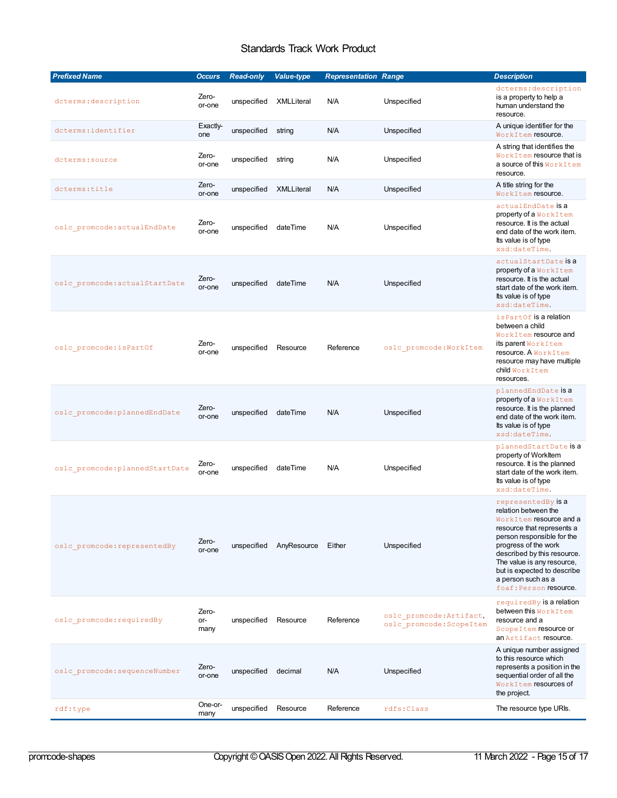<span id="page-14-0"></span>

| <b>Prefixed Name</b>            | <b>Occurs</b>        | <b>Read-only</b> | Value-type  | <b>Representation Range</b> |                                                      | <b>Description</b>                                                                                                                                                                                                                                                                                    |
|---------------------------------|----------------------|------------------|-------------|-----------------------------|------------------------------------------------------|-------------------------------------------------------------------------------------------------------------------------------------------------------------------------------------------------------------------------------------------------------------------------------------------------------|
| dcterms: description            | Zero-<br>or-one      | unspecified      | XMLLiteral  | N/A                         | Unspecified                                          | dcterms: description<br>is a property to help a<br>human understand the<br>resource.                                                                                                                                                                                                                  |
| dcterms: identifier             | Exactly-<br>one      | unspecified      | string      | N/A                         | Unspecified                                          | A unique identifier for the<br>WorkItem resource.                                                                                                                                                                                                                                                     |
| dcterms: source                 | Zero-<br>or-one      | unspecified      | string      | N/A                         | Unspecified                                          | A string that identifies the<br>WorkItem resource that is<br>a source of this WorkItem<br>resource.                                                                                                                                                                                                   |
| dcterms:title                   | Zero-<br>or-one      | unspecified      | XMLLiteral  | N/A                         | Unspecified                                          | A title string for the<br>WorkItem resource.                                                                                                                                                                                                                                                          |
| oslc promcode: actualEndDate    | Zero-<br>or-one      | unspecified      | dateTime    | N/A                         | Unspecified                                          | actualEndDate <b>is a</b><br>property of a WorkItem<br>resource. It is the actual<br>end date of the work item.<br>Its value is of type<br>xsd:dateTime.                                                                                                                                              |
| oslc promcode: actualStartDate  | Zero-<br>or-one      | unspecified      | dateTime    | N/A                         | Unspecified                                          | actualStartDate is a<br>property of a WorkItem<br>resource. It is the actual<br>start date of the work item.<br>Its value is of type<br>xsd:dateTime.                                                                                                                                                 |
| oslc promcode: isPartOf         | Zero-<br>or-one      | unspecified      | Resource    | Reference                   | oslc promcode: WorkItem                              | is Part Of is a relation<br>between a child<br>WorkItem resource and<br>its parent WorkItem<br>resource. A WorkItem<br>resource may have multiple<br>child WorkItem<br>resources.                                                                                                                     |
| oslc promcode: plannedEndDate   | Zero-<br>or-one      | unspecified      | dateTime    | N/A                         | Unspecified                                          | plannedEndDate is a<br>property of a WorkItem<br>resource. It is the planned<br>end date of the work item.<br>Its value is of type<br>xsd:dateTime.                                                                                                                                                   |
| oslc promcode: plannedStartDate | Zero-<br>or-one      | unspecified      | dateTime    | N/A                         | Unspecified                                          | plannedStartDate is a<br>property of WorkItem<br>resource. It is the planned<br>start date of the work item.<br>Its value is of type<br>xsd:dateTime.                                                                                                                                                 |
| oslc promcode: representedBy    | Zero-<br>or-one      | unspecified      | AnyResource | Either                      | Unspecified                                          | representedBy is a<br>relation between the<br>WorkItem resource and a<br>resource that represents a<br>person responsible for the<br>progress of the work<br>described by this resource.<br>The value is any resource,<br>but is expected to describe<br>a person such as a<br>foaf: Person resource. |
| oslc promcode: requiredBy       | Zero-<br>or-<br>many | unspecified      | Resource    | Reference                   | oslc promcode: Artifact,<br>oslc promcode: ScopeItem | requiredBy is a relation<br><b>between this W</b> orkItem<br>resource and a<br>Scope I tem resource or<br>an Artifact resource.                                                                                                                                                                       |
| oslc promcode: sequenceNumber   | Zero-<br>or-one      | unspecified      | decimal     | N/A                         | Unspecified                                          | A unique number assigned<br>to this resource which<br>represents a position in the<br>sequential order of all the<br>WorkItem resources of<br>the project.                                                                                                                                            |
| $\texttt{rdf:type}$             | One-or-<br>many      | unspecified      | Resource    | Reference                   | rdfs: Class                                          | The resource type URIs.                                                                                                                                                                                                                                                                               |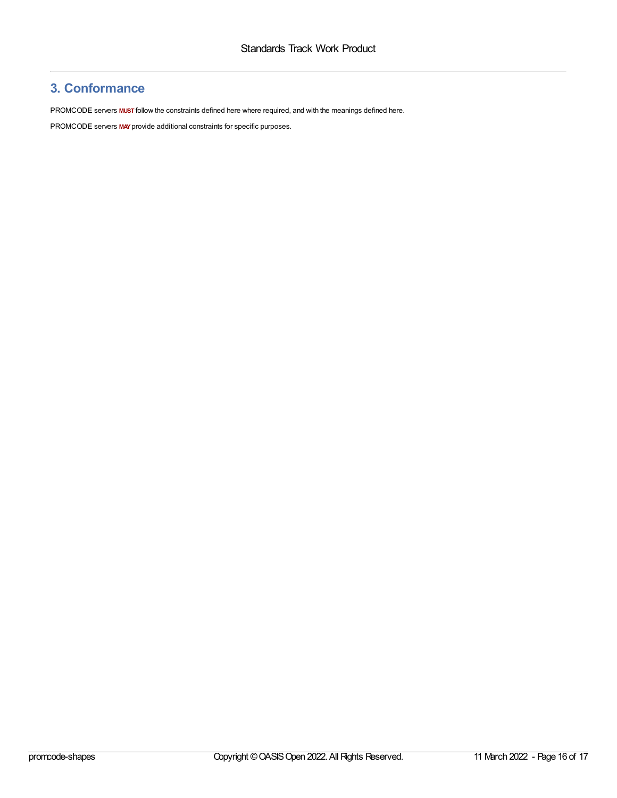## <span id="page-15-0"></span>**3. Conformance**

PROMCODE servers **MUST** follow the constraints defined here where required, and with the meanings defined here.

PROMCODE servers **MAY**provide additional constraints for specific purposes.